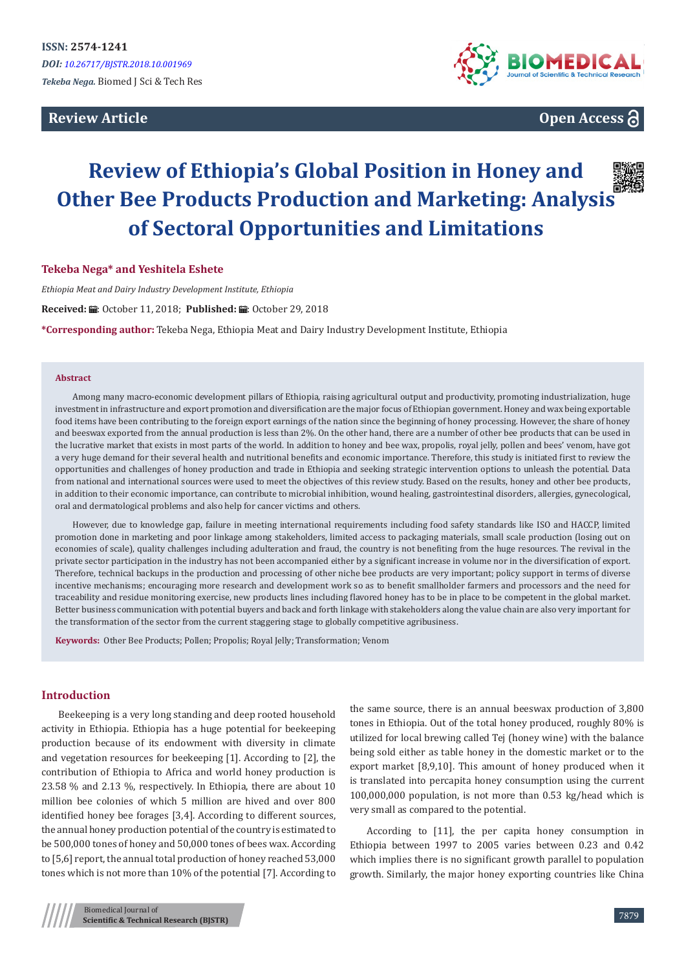## **Review Article**



**Open Access**

# **Review of Ethiopia's Global Position in Honey and Other Bee Products Production and Marketing: Analysis of Sectoral Opportunities and Limitations**

## **Tekeba Nega\* and Yeshitela Eshete**

*Ethiopia Meat and Dairy Industry Development Institute, Ethiopia* Received: *L*: October 11, 2018; Published: 出: October 29, 2018 **\*Corresponding author:** Tekeba Nega, Ethiopia Meat and Dairy Industry Development Institute, Ethiopia

#### **Abstract**

Among many macro-economic development pillars of Ethiopia, raising agricultural output and productivity, promoting industrialization, huge investment in infrastructure and export promotion and diversification are the major focus of Ethiopian government. Honey and wax being exportable food items have been contributing to the foreign export earnings of the nation since the beginning of honey processing. However, the share of honey and beeswax exported from the annual production is less than 2%. On the other hand, there are a number of other bee products that can be used in the lucrative market that exists in most parts of the world. In addition to honey and bee wax, propolis, royal jelly, pollen and bees' venom, have got a very huge demand for their several health and nutritional benefits and economic importance. Therefore, this study is initiated first to review the opportunities and challenges of honey production and trade in Ethiopia and seeking strategic intervention options to unleash the potential. Data from national and international sources were used to meet the objectives of this review study. Based on the results, honey and other bee products, in addition to their economic importance, can contribute to microbial inhibition, wound healing, gastrointestinal disorders, allergies, gynecological, oral and dermatological problems and also help for cancer victims and others.

However, due to knowledge gap, failure in meeting international requirements including food safety standards like ISO and HACCP, limited promotion done in marketing and poor linkage among stakeholders, limited access to packaging materials, small scale production (losing out on economies of scale), quality challenges including adulteration and fraud, the country is not benefiting from the huge resources. The revival in the private sector participation in the industry has not been accompanied either by a significant increase in volume nor in the diversification of export. Therefore, technical backups in the production and processing of other niche bee products are very important; policy support in terms of diverse incentive mechanisms; encouraging more research and development work so as to benefit smallholder farmers and processors and the need for traceability and residue monitoring exercise, new products lines including flavored honey has to be in place to be competent in the global market. Better business communication with potential buyers and back and forth linkage with stakeholders along the value chain are also very important for the transformation of the sector from the current staggering stage to globally competitive agribusiness.

**Keywords:** Other Bee Products; Pollen; Propolis; Royal Jelly; Transformation; Venom

## **Introduction**

Beekeeping is a very long standing and deep rooted household activity in Ethiopia. Ethiopia has a huge potential for beekeeping production because of its endowment with diversity in climate and vegetation resources for beekeeping [1]. According to [2], the contribution of Ethiopia to Africa and world honey production is 23.58 % and 2.13 %, respectively. In Ethiopia, there are about 10 million bee colonies of which 5 million are hived and over 800 identified honey bee forages [3,4]. According to different sources, the annual honey production potential of the country is estimated to be 500,000 tones of honey and 50,000 tones of bees wax. According to [5,6] report, the annual total production of honey reached 53,000 tones which is not more than 10% of the potential [7]. According to

the same source, there is an annual beeswax production of 3,800 tones in Ethiopia. Out of the total honey produced, roughly 80% is utilized for local brewing called Tej (honey wine) with the balance being sold either as table honey in the domestic market or to the export market [8,9,10]. This amount of honey produced when it is translated into percapita honey consumption using the current 100,000,000 population, is not more than 0.53 kg/head which is very small as compared to the potential.

According to [11], the per capita honey consumption in Ethiopia between 1997 to 2005 varies between 0.23 and 0.42 which implies there is no significant growth parallel to population growth. Similarly, the major honey exporting countries like China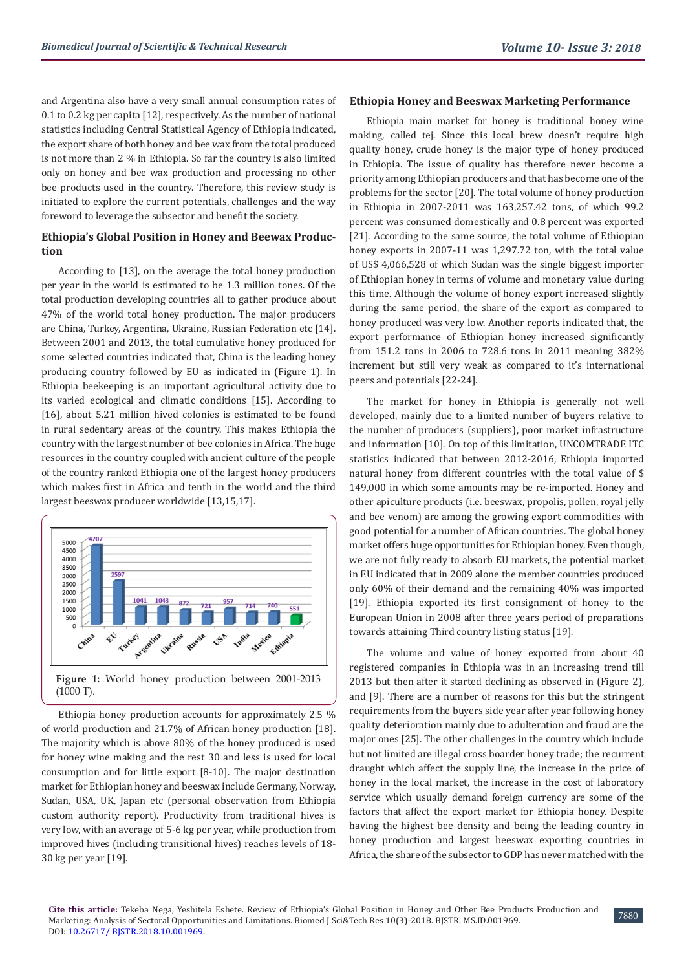and Argentina also have a very small annual consumption rates of 0.1 to 0.2 kg per capita [12], respectively. As the number of national statistics including Central Statistical Agency of Ethiopia indicated, the export share of both honey and bee wax from the total produced is not more than 2 % in Ethiopia. So far the country is also limited only on honey and bee wax production and processing no other bee products used in the country. Therefore, this review study is initiated to explore the current potentials, challenges and the way foreword to leverage the subsector and benefit the society.

## **Ethiopia's Global Position in Honey and Beewax Production**

According to [13], on the average the total honey production per year in the world is estimated to be 1.3 million tones. Of the total production developing countries all to gather produce about 47% of the world total honey production. The major producers are China, Turkey, Argentina, Ukraine, Russian Federation etc [14]. Between 2001 and 2013, the total cumulative honey produced for some selected countries indicated that, China is the leading honey producing country followed by EU as indicated in (Figure 1). In Ethiopia beekeeping is an important agricultural activity due to its varied ecological and climatic conditions [15]. According to [16], about 5.21 million hived colonies is estimated to be found in rural sedentary areas of the country. This makes Ethiopia the country with the largest number of bee colonies in Africa. The huge resources in the country coupled with ancient culture of the people of the country ranked Ethiopia one of the largest honey producers which makes first in Africa and tenth in the world and the third largest beeswax producer worldwide [13,15,17].



Ethiopia honey production accounts for approximately 2.5 % of world production and 21.7% of African honey production [18]. The majority which is above 80% of the honey produced is used for honey wine making and the rest 30 and less is used for local consumption and for little export [8-10]. The major destination market for Ethiopian honey and beeswax include Germany, Norway, Sudan, USA, UK, Japan etc (personal observation from Ethiopia custom authority report). Productivity from traditional hives is very low, with an average of 5-6 kg per year, while production from improved hives (including transitional hives) reaches levels of 18- 30 kg per year [19].

#### **Ethiopia Honey and Beeswax Marketing Performance**

Ethiopia main market for honey is traditional honey wine making, called tej. Since this local brew doesn't require high quality honey, crude honey is the major type of honey produced in Ethiopia. The issue of quality has therefore never become a priority among Ethiopian producers and that has become one of the problems for the sector [20]. The total volume of honey production in Ethiopia in 2007-2011 was 163,257.42 tons, of which 99.2 percent was consumed domestically and 0.8 percent was exported [21]. According to the same source, the total volume of Ethiopian honey exports in 2007-11 was 1,297.72 ton, with the total value of US\$ 4,066,528 of which Sudan was the single biggest importer of Ethiopian honey in terms of volume and monetary value during this time. Although the volume of honey export increased slightly during the same period, the share of the export as compared to honey produced was very low. Another reports indicated that, the export performance of Ethiopian honey increased significantly from 151.2 tons in 2006 to 728.6 tons in 2011 meaning 382% increment but still very weak as compared to it's international peers and potentials [22-24].

The market for honey in Ethiopia is generally not well developed, mainly due to a limited number of buyers relative to the number of producers (suppliers), poor market infrastructure and information [10]. On top of this limitation, UNCOMTRADE ITC statistics indicated that between 2012-2016, Ethiopia imported natural honey from different countries with the total value of \$ 149,000 in which some amounts may be re-imported. Honey and other apiculture products (i.e. beeswax, propolis, pollen, royal jelly and bee venom) are among the growing export commodities with good potential for a number of African countries. The global honey market offers huge opportunities for Ethiopian honey. Even though, we are not fully ready to absorb EU markets, the potential market in EU indicated that in 2009 alone the member countries produced only 60% of their demand and the remaining 40% was imported [19]. Ethiopia exported its first consignment of honey to the European Union in 2008 after three years period of preparations towards attaining Third country listing status [19].

The volume and value of honey exported from about 40 registered companies in Ethiopia was in an increasing trend till 2013 but then after it started declining as observed in (Figure 2), and [9]. There are a number of reasons for this but the stringent requirements from the buyers side year after year following honey quality deterioration mainly due to adulteration and fraud are the major ones [25]. The other challenges in the country which include but not limited are illegal cross boarder honey trade; the recurrent draught which affect the supply line, the increase in the price of honey in the local market, the increase in the cost of laboratory service which usually demand foreign currency are some of the factors that affect the export market for Ethiopia honey. Despite having the highest bee density and being the leading country in honey production and largest beeswax exporting countries in Africa, the share of the subsector to GDP has never matched with the

7880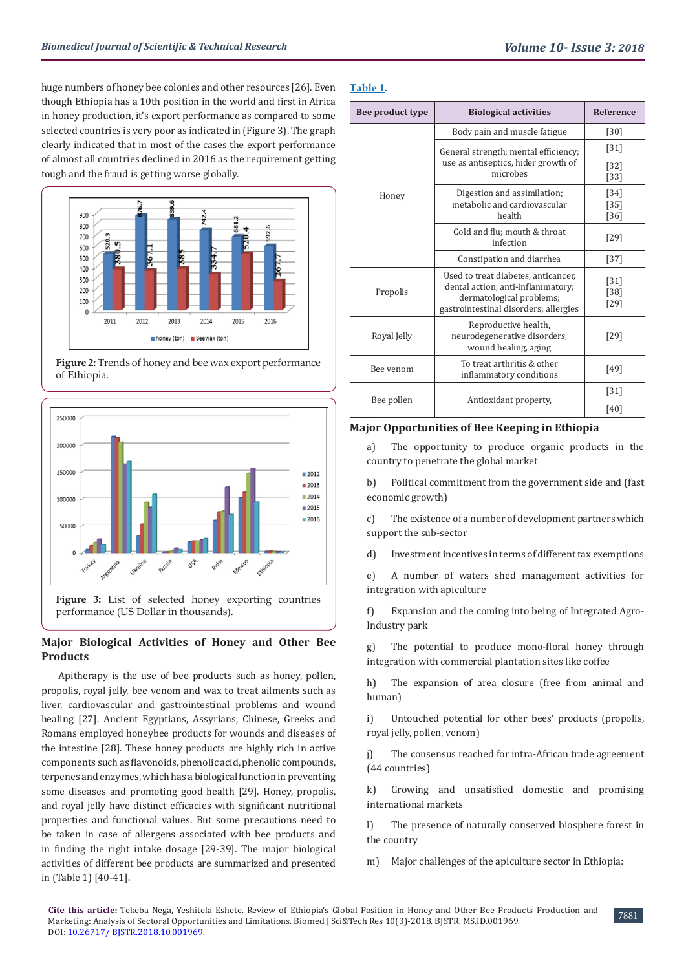huge numbers of honey bee colonies and other resources [26]. Even though Ethiopia has a 10th position in the world and first in Africa in honey production, it's export performance as compared to some selected countries is very poor as indicated in (Figure 3). The graph clearly indicated that in most of the cases the export performance of almost all countries declined in 2016 as the requirement getting tough and the fraud is getting worse globally.



**Figure 2:** Trends of honey and bee wax export performance of Ethiopia.



## **Major Biological Activities of Honey and Other Bee Products**

Apitherapy is the use of bee products such as honey, pollen, propolis, royal jelly, bee venom and wax to treat ailments such as liver, cardiovascular and gastrointestinal problems and wound healing [27]. Ancient Egyptians, Assyrians, Chinese, Greeks and Romans employed honeybee products for wounds and diseases of the intestine [28]. These honey products are highly rich in active components such as flavonoids, phenolic acid, phenolic compounds, terpenes and enzymes, which has a biological function in preventing some diseases and promoting good health [29]. Honey, propolis, and royal jelly have distinct efficacies with significant nutritional properties and functional values. But some precautions need to be taken in case of allergens associated with bee products and in finding the right intake dosage [29-39]. The major biological activities of different bee products are summarized and presented in (Table 1) [40-41].

## **Table 1.**

| Bee product type | <b>Biological activities</b>                                                                                                                  | <b>Reference</b>           |
|------------------|-----------------------------------------------------------------------------------------------------------------------------------------------|----------------------------|
| Honey            | Body pain and muscle fatigue                                                                                                                  | $[30]$                     |
|                  | General strength; mental efficiency;<br>use as antiseptics, hider growth of<br>microbes                                                       | $[31]$                     |
|                  |                                                                                                                                               | $[32]$<br>$[33]$           |
|                  | Digestion and assimilation;<br>metabolic and cardiovascular<br>health                                                                         | $[34]$                     |
|                  |                                                                                                                                               | $[35]$<br>[36]             |
|                  | Cold and flu; mouth & throat<br>infection                                                                                                     | $[29]$                     |
|                  | Constipation and diarrhea                                                                                                                     | $[37]$                     |
| Propolis         | Used to treat diabetes, anticancer,<br>dental action, anti-inflammatory;<br>dermatological problems;<br>gastrointestinal disorders; allergies | $[31]$<br>$[38]$<br>$[29]$ |
| Royal Jelly      | Reproductive health,<br>neurodegenerative disorders,<br>wound healing, aging                                                                  | [29]                       |
| Bee venom        | To treat arthritis & other<br>inflammatory conditions                                                                                         | [49]                       |
| Bee pollen       | Antioxidant property,                                                                                                                         | $[31]$                     |
|                  |                                                                                                                                               | [40]                       |

## **Major Opportunities of Bee Keeping in Ethiopia**

a) The opportunity to produce organic products in the country to penetrate the global market

b) Political commitment from the government side and (fast economic growth)

c) The existence of a number of development partners which support the sub-sector

d) Investment incentives in terms of different tax exemptions

e) A number of waters shed management activities for integration with apiculture

f) Expansion and the coming into being of Integrated Agro-Industry park

g) The potential to produce mono-floral honey through integration with commercial plantation sites like coffee

h) The expansion of area closure (free from animal and human)

i) Untouched potential for other bees' products (propolis, royal jelly, pollen, venom)

j) The consensus reached for intra-African trade agreement (44 countries)

k) Growing and unsatisfied domestic and promising international markets

l) The presence of naturally conserved biosphere forest in the country

m) Major challenges of the apiculture sector in Ethiopia:

7881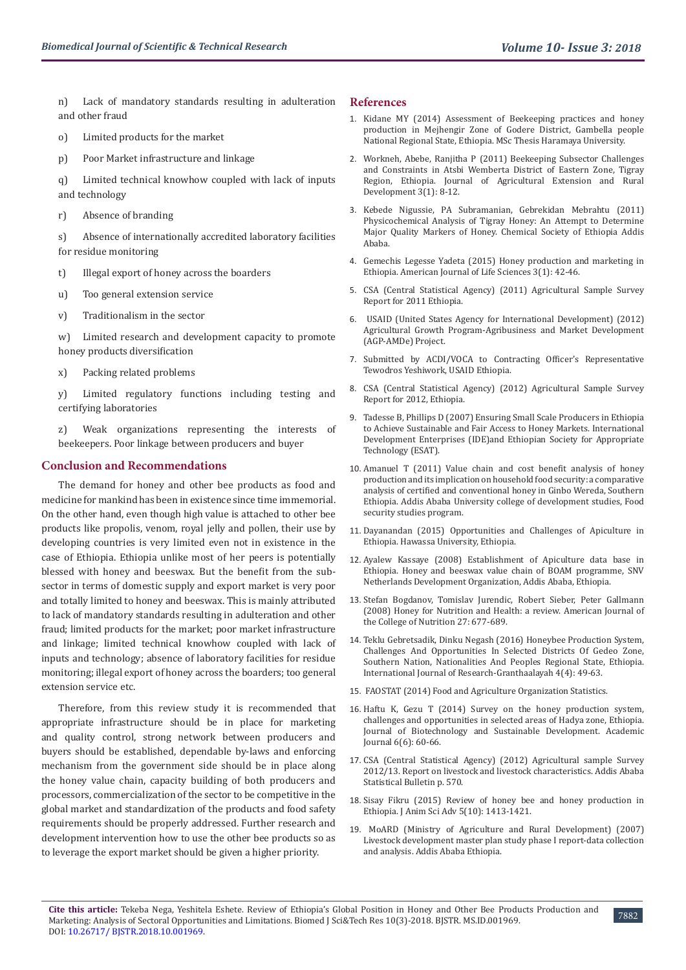n) Lack of mandatory standards resulting in adulteration and other fraud

- o) Limited products for the market
- p) Poor Market infrastructure and linkage

q) Limited technical knowhow coupled with lack of inputs and technology

r) Absence of branding

s) Absence of internationally accredited laboratory facilities for residue monitoring

- t) Illegal export of honey across the boarders
- u) Too general extension service
- v) Traditionalism in the sector

w) Limited research and development capacity to promote honey products diversification

x) Packing related problems

y) Limited regulatory functions including testing and certifying laboratories

Weak organizations representing the interests of beekeepers. Poor linkage between producers and buyer

#### **Conclusion and Recommendations**

The demand for honey and other bee products as food and medicine for mankind has been in existence since time immemorial. On the other hand, even though high value is attached to other bee products like propolis, venom, royal jelly and pollen, their use by developing countries is very limited even not in existence in the case of Ethiopia. Ethiopia unlike most of her peers is potentially blessed with honey and beeswax. But the benefit from the subsector in terms of domestic supply and export market is very poor and totally limited to honey and beeswax. This is mainly attributed to lack of mandatory standards resulting in adulteration and other fraud; limited products for the market; poor market infrastructure and linkage; limited technical knowhow coupled with lack of inputs and technology; absence of laboratory facilities for residue monitoring; illegal export of honey across the boarders; too general extension service etc.

Therefore, from this review study it is recommended that appropriate infrastructure should be in place for marketing and quality control, strong network between producers and buyers should be established, dependable by-laws and enforcing mechanism from the government side should be in place along the honey value chain, capacity building of both producers and processors, commercialization of the sector to be competitive in the global market and standardization of the products and food safety requirements should be properly addressed. Further research and development intervention how to use the other bee products so as to leverage the export market should be given a higher priority.

#### **References**

- 1. [Kidane MY \(2014\) Assessment of Beekeeping practices and honey](https://juniperpublishers.com/artoaj/pdf/ARTOAJ.MS.ID.555974.pdf) [production in Mejhengir Zone of Godere District, Gambella people](https://juniperpublishers.com/artoaj/pdf/ARTOAJ.MS.ID.555974.pdf) [National Regional State, Ethiopia. MSc Thesis Haramaya University.](https://juniperpublishers.com/artoaj/pdf/ARTOAJ.MS.ID.555974.pdf)
- 2. [Workneh, Abebe, Ranjitha P \(2011\) Beekeeping Subsector Challenges](https://cgspace.cgiar.org/handle/10568/3233) [and Constraints in Atsbi Wemberta District of Eastern Zone, Tigray](https://cgspace.cgiar.org/handle/10568/3233) [Region, Ethiopia. Journal of Agricultural Extension and Rural](https://cgspace.cgiar.org/handle/10568/3233) [Development 3\(1\): 8-12.](https://cgspace.cgiar.org/handle/10568/3233)
- 3. [Kebede Nigussie, PA Subramanian, Gebrekidan Mebrahtu \(2011\)](https://www.ajol.info/index.php/bcse/article/view/72967) [Physicochemical Analysis of Tigray Honey: An Attempt to Determine](https://www.ajol.info/index.php/bcse/article/view/72967) [Major Quality Markers of Honey. Chemical Society of Ethiopia Addis](https://www.ajol.info/index.php/bcse/article/view/72967) [Ababa.](https://www.ajol.info/index.php/bcse/article/view/72967)
- 4. [Gemechis Legesse Yadeta \(2015\) Honey production and marketing in](https://www.researchgate.net/publication/276117500_Honey_Production_and_Marketing_in_Ethiopian) [Ethiopia. American Journal of Life Sciences 3\(1\): 42-46.](https://www.researchgate.net/publication/276117500_Honey_Production_and_Marketing_in_Ethiopian)
- 5. [CSA \(Central Statistical Agency\) \(2011\) Agricultural Sample Survey](http://catalog.ihsn.org/index.php/catalog/3400) [Report for 2011 Ethiopia.](http://catalog.ihsn.org/index.php/catalog/3400)
- 6. [USAID \(United States Agency for International Development\) \(2012\)](https://beamexchange.org/uploads/filer_public/4e/7b/4e7bee24-6d0c-45ad-bd03-2240eed00cca/amde_project_initial_bcc_evaluation_report.pdf) [Agricultural Growth Program-Agribusiness and Market Development](https://beamexchange.org/uploads/filer_public/4e/7b/4e7bee24-6d0c-45ad-bd03-2240eed00cca/amde_project_initial_bcc_evaluation_report.pdf) [\(AGP-AMDe\) Project.](https://beamexchange.org/uploads/filer_public/4e/7b/4e7bee24-6d0c-45ad-bd03-2240eed00cca/amde_project_initial_bcc_evaluation_report.pdf)
- 7. Submitted by ACDI/VOCA to Contracting Officer's Representative Tewodros Yeshiwork, USAID Ethiopia.
- 8. CSA (Central Statistical Agency) (2012) Agricultural Sample Survey Report for 2012, Ethiopia.
- 9. Tadesse B, Phillips D (2007) Ensuring Small Scale Producers in Ethiopia to Achieve Sustainable and Fair Access to Honey Markets. International Development Enterprises (IDE)and Ethiopian Society for Appropriate Technology (ESAT).
- 10. Amanuel T (2011) Value chain and cost benefit analysis of honey production and its implication on household food security: a comparative analysis of certified and conventional honey in Ginbo Wereda, Southern Ethiopia. Addis Ababa University college of development studies, Food security studies program.
- 11. Dayanandan (2015) Opportunities and Challenges of Apiculture in Ethiopia. Hawassa University, Ethiopia.
- 12. Ayalew Kassaye (2008) Establishment of Apiculture data base in Ethiopia. Honey and beeswax value chain of BOAM programme, SNV Netherlands Development Organization, Addis Ababa, Ethiopia.
- 13. [Stefan Bogdanov, Tomislav Jurendic, Robert Sieber, Peter Gallmann](https://www.ncbi.nlm.nih.gov/pubmed/19155427) [\(2008\) Honey for Nutrition and Health: a review. American Journal of](https://www.ncbi.nlm.nih.gov/pubmed/19155427) [the College of Nutrition 27: 677-689.](https://www.ncbi.nlm.nih.gov/pubmed/19155427)
- 14. [Teklu Gebretsadik, Dinku Negash \(2016\) Honeybee Production System,](https://www.researchgate.net/publication/302028147_HONEYBEE_PRODUCTION_SYSTEM_CHALLENGES_AND_OPPORTUNITIES_IN_SELECTED_DISTRICTS_OF_GEDEO_ZONE_SOUTHERN_NATION_NATIONALITIES_AND_PEOPLES_REGIONAL_STATE_ETHIOPIA) [Challenges And Opportunities In Selected Districts Of Gedeo Zone,](https://www.researchgate.net/publication/302028147_HONEYBEE_PRODUCTION_SYSTEM_CHALLENGES_AND_OPPORTUNITIES_IN_SELECTED_DISTRICTS_OF_GEDEO_ZONE_SOUTHERN_NATION_NATIONALITIES_AND_PEOPLES_REGIONAL_STATE_ETHIOPIA) [Southern Nation, Nationalities And Peoples Regional State, Ethiopia.](https://www.researchgate.net/publication/302028147_HONEYBEE_PRODUCTION_SYSTEM_CHALLENGES_AND_OPPORTUNITIES_IN_SELECTED_DISTRICTS_OF_GEDEO_ZONE_SOUTHERN_NATION_NATIONALITIES_AND_PEOPLES_REGIONAL_STATE_ETHIOPIA) [International Journal of Research-Granthaalayah 4\(4\): 49-63.](https://www.researchgate.net/publication/302028147_HONEYBEE_PRODUCTION_SYSTEM_CHALLENGES_AND_OPPORTUNITIES_IN_SELECTED_DISTRICTS_OF_GEDEO_ZONE_SOUTHERN_NATION_NATIONALITIES_AND_PEOPLES_REGIONAL_STATE_ETHIOPIA)
- 15. FAOSTAT (2014) Food and Agriculture Organization Statistics.
- 16. [Haftu K, Gezu T \(2014\) Survey on the honey production system,](http://www.academicjournals.org/app/webroot/article/article1414140983_Kebede%20and%20%20Tadesse.pdf) [challenges and opportunities in selected areas of Hadya zone, Ethiopia.](http://www.academicjournals.org/app/webroot/article/article1414140983_Kebede%20and%20%20Tadesse.pdf) [Journal of Biotechnology and Sustainable Development. Academic](http://www.academicjournals.org/app/webroot/article/article1414140983_Kebede%20and%20%20Tadesse.pdf) [Journal 6\(6\): 60-66.](http://www.academicjournals.org/app/webroot/article/article1414140983_Kebede%20and%20%20Tadesse.pdf)
- 17. CSA (Central Statistical Agency) (2012) Agricultural sample Survey 2012/13. Report on livestock and livestock characteristics. Addis Ababa Statistical Bulletin p. 570.
- 18. [Sisay Fikru \(2015\) Review of honey bee and honey production in](http://www.lrrd.org/lrrd26/1/lege26014.htm) [Ethiopia. J Anim Sci Adv 5\(10\): 1413-1421.](http://www.lrrd.org/lrrd26/1/lege26014.htm)
- 19. MoARD (Ministry of Agriculture and Rural Development) (2007) Livestock development master plan study phase I report-data collection and analysis. Addis Ababa Ethiopia.

7882